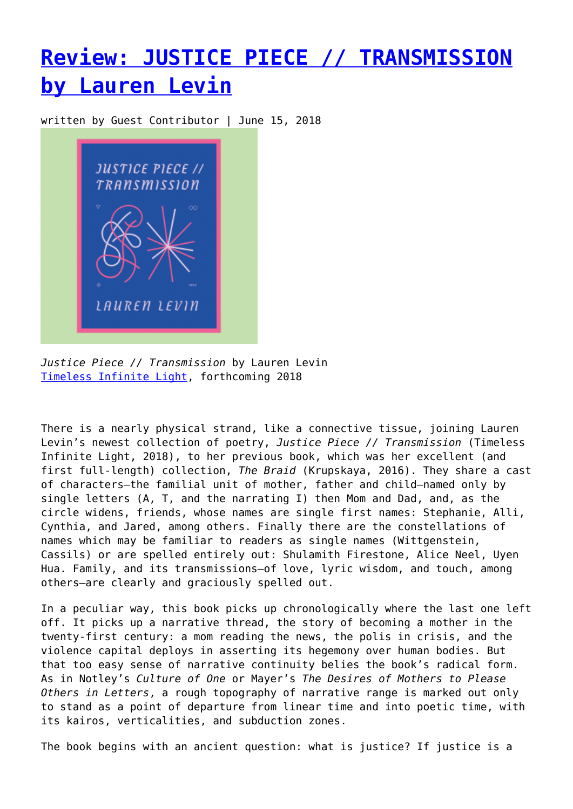## **[Review: JUSTICE PIECE // TRANSMISSION](https://entropymag.org/review-justice-piece-transmission-by-lauren-levin/) [by Lauren Levin](https://entropymag.org/review-justice-piece-transmission-by-lauren-levin/)**

written by Guest Contributor | June 15, 2018



*Justice Piece // Transmission* by Lauren Levin [Timeless Infinite Light,](https://timelessinfinitelight.com/) forthcoming 2018

There is a nearly physical strand, like a connective tissue, joining Lauren Levin's newest collection of poetry, *Justice Piece // Transmission* (Timeless Infinite Light, 2018), to her previous book, which was her excellent (and first full-length) collection, *The Braid* (Krupskaya, 2016). They share a cast of characters—the familial unit of mother, father and child—named only by single letters (A, T, and the narrating I) then Mom and Dad, and, as the circle widens, friends, whose names are single first names: Stephanie, Alli, Cynthia, and Jared, among others. Finally there are the constellations of names which may be familiar to readers as single names (Wittgenstein, Cassils) or are spelled entirely out: Shulamith Firestone, Alice Neel, Uyen Hua. Family, and its transmissions—of love, lyric wisdom, and touch, among others—are clearly and graciously spelled out.

In a peculiar way, this book picks up chronologically where the last one left off. It picks up a narrative thread, the story of becoming a mother in the twenty-first century: a mom reading the news, the polis in crisis, and the violence capital deploys in asserting its hegemony over human bodies. But that too easy sense of narrative continuity belies the book's radical form. As in Notley's *Culture of One* or Mayer's *The Desires of Mothers to Please Others in Letters*, a rough topography of narrative range is marked out only to stand as a point of departure from linear time and into poetic time, with its kairos, verticalities, and subduction zones.

The book begins with an ancient question: what is justice? If justice is a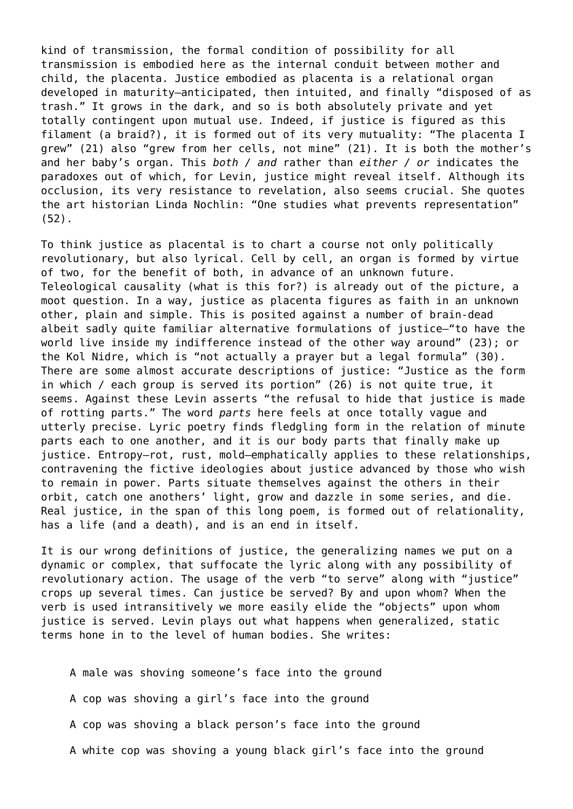kind of transmission, the formal condition of possibility for all transmission is embodied here as the internal conduit between mother and child, the placenta. Justice embodied as placenta is a relational organ developed in maturity—anticipated, then intuited, and finally "disposed of as trash." It grows in the dark, and so is both absolutely private and yet totally contingent upon mutual use. Indeed, if justice is figured as this filament (a braid?), it is formed out of its very mutuality: "The placenta I grew" (21) also "grew from her cells, not mine" (21). It is both the mother's and her baby's organ. This *both / and* rather than *either / or* indicates the paradoxes out of which, for Levin, justice might reveal itself. Although its occlusion, its very resistance to revelation, also seems crucial. She quotes the art historian Linda Nochlin: "One studies what prevents representation" (52).

To think justice as placental is to chart a course not only politically revolutionary, but also lyrical. Cell by cell, an organ is formed by virtue of two, for the benefit of both, in advance of an unknown future. Teleological causality (what is this for?) is already out of the picture, a moot question. In a way, justice as placenta figures as faith in an unknown other, plain and simple. This is posited against a number of brain-dead albeit sadly quite familiar alternative formulations of justice—"to have the world live inside my indifference instead of the other way around" (23); or the Kol Nidre, which is "not actually a prayer but a legal formula" (30). There are some almost accurate descriptions of justice: "Justice as the form in which / each group is served its portion" (26) is not quite true, it seems. Against these Levin asserts "the refusal to hide that justice is made of rotting parts." The word *parts* here feels at once totally vague and utterly precise. Lyric poetry finds fledgling form in the relation of minute parts each to one another, and it is our body parts that finally make up justice. Entropy—rot, rust, mold—emphatically applies to these relationships, contravening the fictive ideologies about justice advanced by those who wish to remain in power. Parts situate themselves against the others in their orbit, catch one anothers' light, grow and dazzle in some series, and die. Real justice, in the span of this long poem, is formed out of relationality, has a life (and a death), and is an end in itself.

It is our wrong definitions of justice, the generalizing names we put on a dynamic or complex, that suffocate the lyric along with any possibility of revolutionary action. The usage of the verb "to serve" along with "justice" crops up several times. Can justice be served? By and upon whom? When the verb is used intransitively we more easily elide the "objects" upon whom justice is served. Levin plays out what happens when generalized, static terms hone in to the level of human bodies. She writes:

A male was shoving someone's face into the ground A cop was shoving a girl's face into the ground A cop was shoving a black person's face into the ground A white cop was shoving a young black girl's face into the ground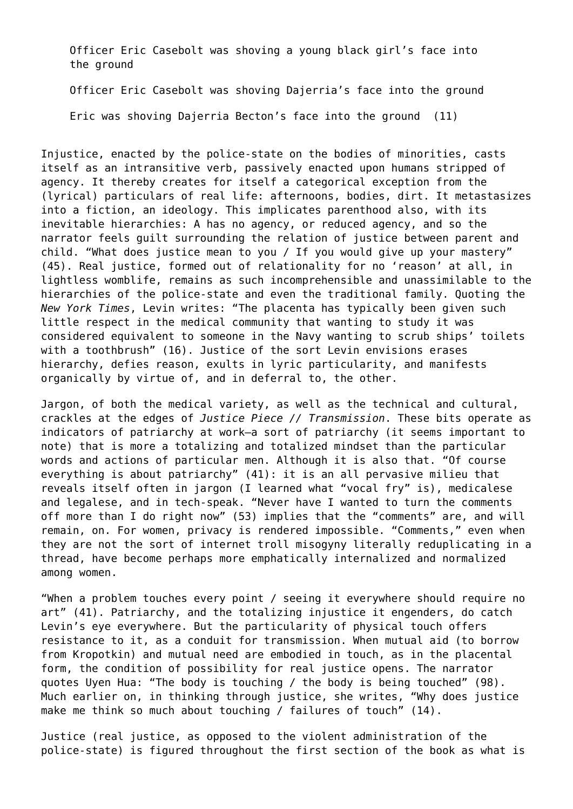Officer Eric Casebolt was shoving a young black girl's face into the ground

Officer Eric Casebolt was shoving Dajerria's face into the ground

Eric was shoving Dajerria Becton's face into the ground (11)

Injustice, enacted by the police-state on the bodies of minorities, casts itself as an intransitive verb, passively enacted upon humans stripped of agency. It thereby creates for itself a categorical exception from the (lyrical) particulars of real life: afternoons, bodies, dirt. It metastasizes into a fiction, an ideology. This implicates parenthood also, with its inevitable hierarchies: A has no agency, or reduced agency, and so the narrator feels guilt surrounding the relation of justice between parent and child. "What does justice mean to you / If you would give up your mastery" (45). Real justice, formed out of relationality for no 'reason' at all, in lightless womblife, remains as such incomprehensible and unassimilable to the hierarchies of the police-state and even the traditional family. Quoting the *New York Times*, Levin writes: "The placenta has typically been given such little respect in the medical community that wanting to study it was considered equivalent to someone in the Navy wanting to scrub ships' toilets with a toothbrush" (16). Justice of the sort Levin envisions erases hierarchy, defies reason, exults in lyric particularity, and manifests organically by virtue of, and in deferral to, the other.

Jargon, of both the medical variety, as well as the technical and cultural, crackles at the edges of *Justice Piece // Transmission*. These bits operate as indicators of patriarchy at work—a sort of patriarchy (it seems important to note) that is more a totalizing and totalized mindset than the particular words and actions of particular men. Although it is also that. "Of course everything is about patriarchy" (41): it is an all pervasive milieu that reveals itself often in jargon (I learned what "vocal fry" is), medicalese and legalese, and in tech-speak. "Never have I wanted to turn the comments off more than I do right now" (53) implies that the "comments" are, and will remain, on. For women, privacy is rendered impossible. "Comments," even when they are not the sort of internet troll misogyny literally reduplicating in a thread, have become perhaps more emphatically internalized and normalized among women.

"When a problem touches every point / seeing it everywhere should require no art" (41). Patriarchy, and the totalizing injustice it engenders, do catch Levin's eye everywhere. But the particularity of physical touch offers resistance to it, as a conduit for transmission. When mutual aid (to borrow from Kropotkin) and mutual need are embodied in touch, as in the placental form, the condition of possibility for real justice opens. The narrator quotes Uyen Hua: "The body is touching / the body is being touched" (98). Much earlier on, in thinking through justice, she writes, "Why does justice make me think so much about touching / failures of touch" (14).

Justice (real justice, as opposed to the violent administration of the police-state) is figured throughout the first section of the book as what is